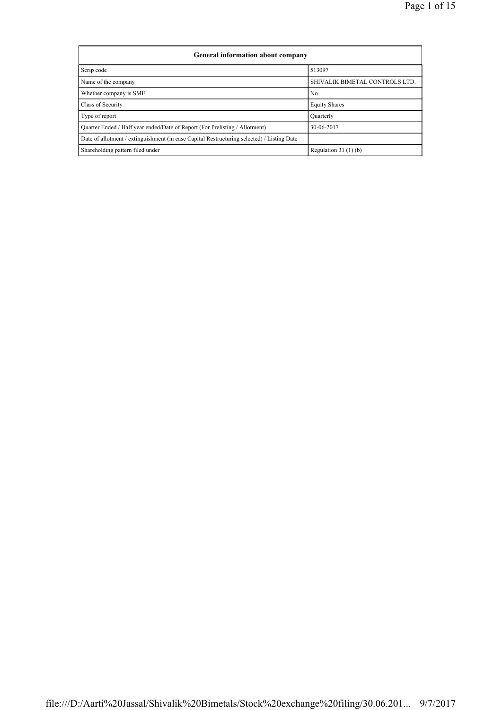| <b>General information about company</b>                                                   |                                |  |  |  |  |  |  |  |
|--------------------------------------------------------------------------------------------|--------------------------------|--|--|--|--|--|--|--|
| Scrip code                                                                                 | 513097                         |  |  |  |  |  |  |  |
| Name of the company                                                                        | SHIVALIK BIMETAL CONTROLS LTD. |  |  |  |  |  |  |  |
| Whether company is SME                                                                     | N <sub>0</sub>                 |  |  |  |  |  |  |  |
| Class of Security                                                                          | <b>Equity Shares</b>           |  |  |  |  |  |  |  |
| Type of report                                                                             | Ouarterly                      |  |  |  |  |  |  |  |
| Ouarter Ended / Half year ended/Date of Report (For Prelisting / Allotment)                | 30-06-2017                     |  |  |  |  |  |  |  |
| Date of allotment / extinguishment (in case Capital Restructuring selected) / Listing Date |                                |  |  |  |  |  |  |  |
| Shareholding pattern filed under                                                           | Regulation $31(1)(b)$          |  |  |  |  |  |  |  |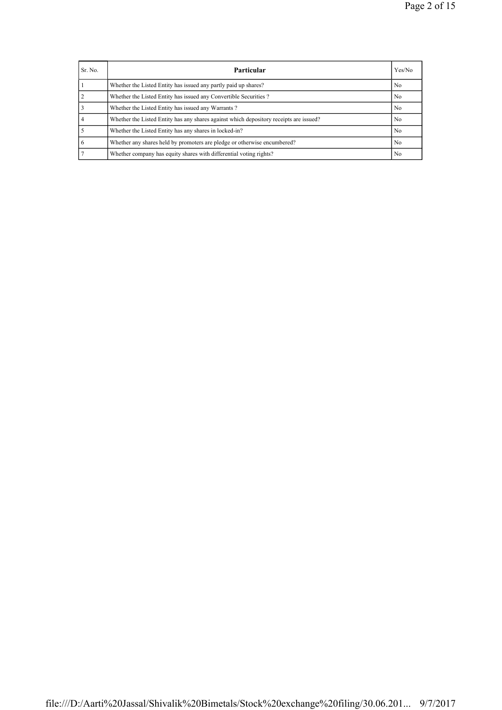| Sr. No. | Particular                                                                             | Yes/No         |
|---------|----------------------------------------------------------------------------------------|----------------|
|         | Whether the Listed Entity has issued any partly paid up shares?                        | No.            |
|         | Whether the Listed Entity has issued any Convertible Securities?                       | N <sub>0</sub> |
|         | Whether the Listed Entity has issued any Warrants?                                     | No.            |
|         | Whether the Listed Entity has any shares against which depository receipts are issued? | No.            |
|         | Whether the Listed Entity has any shares in locked-in?                                 | N <sub>0</sub> |
|         | Whether any shares held by promoters are pledge or otherwise encumbered?               | N <sub>0</sub> |
|         | Whether company has equity shares with differential voting rights?                     | N <sub>0</sub> |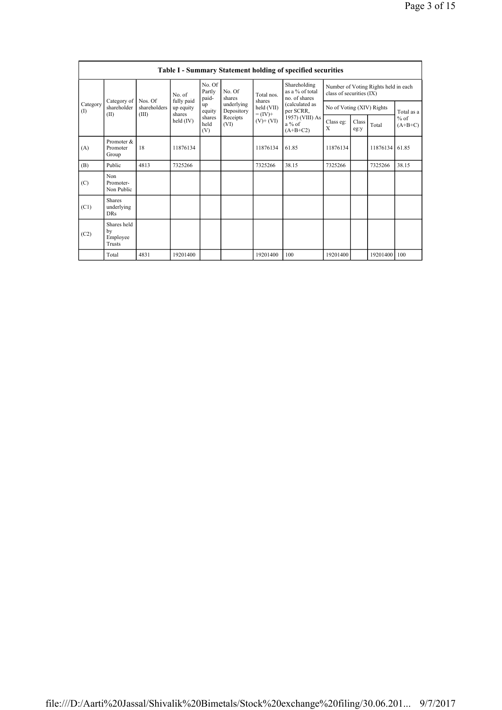|                 |                                         |                         |                                                                                                                    |                           |                          |                                   | <b>Table I - Summary Statement holding of specified securities</b> |                                                                  |  |                |            |
|-----------------|-----------------------------------------|-------------------------|--------------------------------------------------------------------------------------------------------------------|---------------------------|--------------------------|-----------------------------------|--------------------------------------------------------------------|------------------------------------------------------------------|--|----------------|------------|
| Category<br>(I) | Category of<br>shareholder              |                         | No. of                                                                                                             | No. Of<br>Partly<br>paid- | No. Of<br>shares         | Total nos<br>shares<br>held (VII) | Shareholding<br>as a % of total<br>no. of shares                   | Number of Voting Rights held in each<br>class of securities (IX) |  |                |            |
|                 |                                         | Nos. Of<br>shareholders | fully paid<br>up equity<br>shares                                                                                  | up<br>equity              | underlying<br>Depository |                                   | (calculated as<br>per SCRR,                                        | No of Voting (XIV) Rights                                        |  |                | Total as a |
|                 | (II)                                    | (III)                   | $= (IV) +$<br>shares<br>Receipts<br>held $(IV)$<br>$(V)$ + $(VI)$<br>$a\%$ of<br>held<br>(VI)<br>(V)<br>$(A+B+C2)$ | 1957) (VIII) As           | Class eg:<br>X           | Class<br>eg:y                     | Total                                                              | $%$ of<br>$(A+B+C)$                                              |  |                |            |
| (A)             | Promoter &<br>Promoter<br>Group         | 18                      | 11876134                                                                                                           |                           |                          | 11876134                          | 61.85                                                              | 11876134                                                         |  | 11876134       | 61.85      |
| (B)             | Public                                  | 4813                    | 7325266                                                                                                            |                           |                          | 7325266                           | 38.15                                                              | 7325266                                                          |  | 7325266        | 38.15      |
| (C)             | Non<br>Promoter-<br>Non Public          |                         |                                                                                                                    |                           |                          |                                   |                                                                    |                                                                  |  |                |            |
| (C1)            | Shares<br>underlying<br><b>DRs</b>      |                         |                                                                                                                    |                           |                          |                                   |                                                                    |                                                                  |  |                |            |
| (C2)            | Shares held<br>by<br>Employee<br>Trusts |                         |                                                                                                                    |                           |                          |                                   |                                                                    |                                                                  |  |                |            |
|                 | Total                                   | 4831                    | 19201400                                                                                                           |                           |                          | 19201400                          | 100                                                                | 19201400                                                         |  | 19201400   100 |            |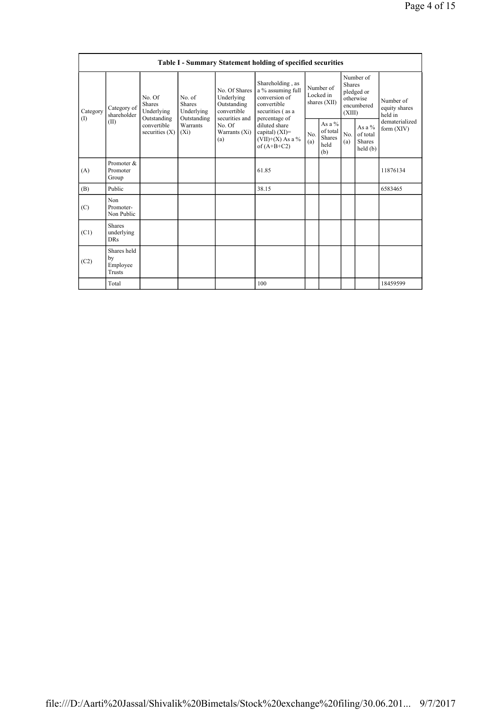|                 | Table I - Summary Statement holding of specified securities |                                                                                         |                                                                             |                                                                                                               |                                                                                                            |                                        |                                                |                                                                               |                                                  |                                       |
|-----------------|-------------------------------------------------------------|-----------------------------------------------------------------------------------------|-----------------------------------------------------------------------------|---------------------------------------------------------------------------------------------------------------|------------------------------------------------------------------------------------------------------------|----------------------------------------|------------------------------------------------|-------------------------------------------------------------------------------|--------------------------------------------------|---------------------------------------|
| Category<br>(1) | Category of<br>shareholder<br>(II)                          | No. Of<br><b>Shares</b><br>Underlying<br>Outstanding<br>convertible<br>securities $(X)$ | No. of<br><b>Shares</b><br>Underlying<br>Outstanding<br>Warrants<br>$(X_i)$ | No. Of Shares<br>Underlying<br>Outstanding<br>convertible<br>securities and<br>No. Of<br>Warrants (Xi)<br>(a) | Shareholding, as<br>a % assuming full<br>conversion of<br>convertible<br>securities (as a<br>percentage of | Number of<br>Locked in<br>shares (XII) |                                                | Number of<br><b>Shares</b><br>pledged or<br>otherwise<br>encumbered<br>(XIII) |                                                  | Number of<br>equity shares<br>held in |
|                 |                                                             |                                                                                         |                                                                             |                                                                                                               | diluted share<br>capital) $(XI)$ =<br>$(VII)+(X)$ As a %<br>of $(A+B+C2)$                                  | N <sub>0</sub><br>(a)                  | As a $\%$<br>of total<br>Shares<br>held<br>(b) | No.<br>(a)                                                                    | As a $%$<br>of total<br><b>Shares</b><br>held(b) | dematerialized<br>form $(XIV)$        |
| (A)             | Promoter &<br>Promoter<br>Group                             |                                                                                         |                                                                             |                                                                                                               | 61.85                                                                                                      |                                        |                                                |                                                                               |                                                  | 11876134                              |
| (B)             | Public                                                      |                                                                                         |                                                                             |                                                                                                               | 38.15                                                                                                      |                                        |                                                |                                                                               |                                                  | 6583465                               |
| (C)             | Non<br>Promoter-<br>Non Public                              |                                                                                         |                                                                             |                                                                                                               |                                                                                                            |                                        |                                                |                                                                               |                                                  |                                       |
| (C1)            | <b>Shares</b><br>underlying<br><b>DRs</b>                   |                                                                                         |                                                                             |                                                                                                               |                                                                                                            |                                        |                                                |                                                                               |                                                  |                                       |
| (C2)            | Shares held<br>by<br>Employee<br>Trusts                     |                                                                                         |                                                                             |                                                                                                               |                                                                                                            |                                        |                                                |                                                                               |                                                  |                                       |
|                 | Total                                                       |                                                                                         |                                                                             |                                                                                                               | 100                                                                                                        |                                        |                                                |                                                                               |                                                  | 18459599                              |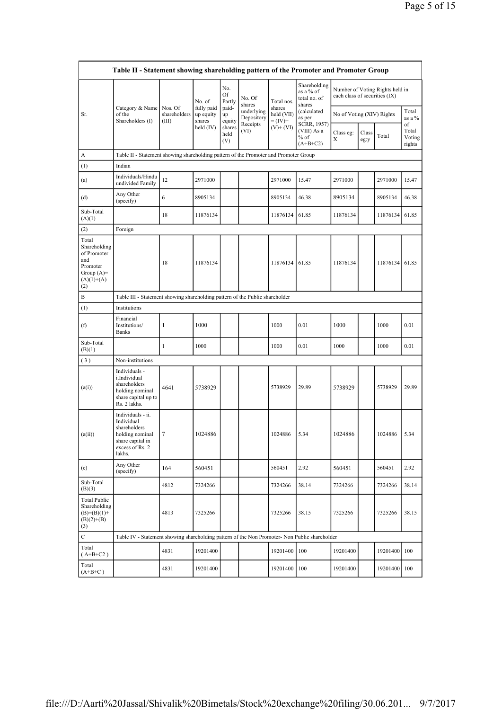|                                                                                                | Table II - Statement showing shareholding pattern of the Promoter and Promoter Group                                |                                  |                                   |                       |                          |                                    |                                                     |                               |               |                                 |                                 |
|------------------------------------------------------------------------------------------------|---------------------------------------------------------------------------------------------------------------------|----------------------------------|-----------------------------------|-----------------------|--------------------------|------------------------------------|-----------------------------------------------------|-------------------------------|---------------|---------------------------------|---------------------------------|
|                                                                                                |                                                                                                                     |                                  | No. of                            | No.<br>Of<br>Partly   | No. Of<br>shares         | Total nos.                         | Shareholding<br>as a % of<br>total no. of<br>shares | each class of securities (IX) |               | Number of Voting Rights held in |                                 |
| Sr.                                                                                            | Category & Name<br>of the<br>Shareholders (I)                                                                       | Nos. Of<br>shareholders<br>(III) | fully paid<br>up equity<br>shares | paid-<br>up<br>equity | underlying<br>Depository | shares<br>held (VII)<br>$= (IV) +$ | (calculated<br>as per                               | No of Voting (XIV) Rights     |               |                                 | Total<br>as a %                 |
|                                                                                                |                                                                                                                     |                                  | held $(IV)$                       | shares<br>held<br>(V) | Receipts<br>(VI)         | $(V)$ + $(VI)$                     | SCRR, 1957)<br>(VIII) As a<br>$%$ of<br>$(A+B+C2)$  | Class eg:<br>X                | Class<br>eg:y | Total                           | of<br>Total<br>Voting<br>rights |
| A                                                                                              | Table II - Statement showing shareholding pattern of the Promoter and Promoter Group                                |                                  |                                   |                       |                          |                                    |                                                     |                               |               |                                 |                                 |
| (1)                                                                                            | Indian                                                                                                              |                                  |                                   |                       |                          |                                    |                                                     |                               |               |                                 |                                 |
| (a)                                                                                            | Individuals/Hindu<br>undivided Family                                                                               | 12                               | 2971000                           |                       |                          | 2971000                            | 15.47                                               | 2971000                       |               | 2971000                         | 15.47                           |
| (d)                                                                                            | Any Other<br>(specify)                                                                                              | 6                                | 8905134                           |                       |                          | 8905134                            | 46.38                                               | 8905134                       |               | 8905134                         | 46.38                           |
| Sub-Total<br>(A)(1)                                                                            |                                                                                                                     | 18                               | 11876134                          |                       |                          | 11876134                           | 61.85                                               | 11876134                      |               | 11876134                        | 61.85                           |
| (2)                                                                                            | Foreign                                                                                                             |                                  |                                   |                       |                          |                                    |                                                     |                               |               |                                 |                                 |
| Total<br>Shareholding<br>of Promoter<br>and<br>Promoter<br>Group $(A)=$<br>$(A)(1)+(A)$<br>(2) |                                                                                                                     | 18                               | 11876134                          |                       |                          | 11876134                           | 61.85                                               | 11876134                      |               | 11876134                        | 61.85                           |
| Β                                                                                              | Table III - Statement showing shareholding pattern of the Public shareholder                                        |                                  |                                   |                       |                          |                                    |                                                     |                               |               |                                 |                                 |
| (1)                                                                                            | Institutions                                                                                                        |                                  |                                   |                       |                          |                                    |                                                     |                               |               |                                 |                                 |
| (f)                                                                                            | Financial<br>Institutions/<br><b>Banks</b>                                                                          | 1                                | 1000                              |                       |                          | 1000                               | 0.01                                                | 1000                          |               | 1000                            | 0.01                            |
| Sub-Total<br>(B)(1)                                                                            |                                                                                                                     | $\mathbf{1}$                     | 1000                              |                       |                          | 1000                               | 0.01                                                | 1000                          |               | 1000                            | 0.01                            |
| (3)                                                                                            | Non-institutions                                                                                                    |                                  |                                   |                       |                          |                                    |                                                     |                               |               |                                 |                                 |
| (a(i))                                                                                         | Individuals -<br>i.Individual<br>shareholders<br>holding nominal<br>share capital up to<br>Rs. 2 lakhs.             | 4641                             | 5738929                           |                       |                          | 5738929                            | 29.89                                               | 5738929                       |               | 5738929                         | 29.89                           |
| (a(ii))                                                                                        | Individuals - ii.<br>Individual<br>shareholders<br>holding nominal<br>share capital in<br>excess of Rs. 2<br>lakhs. | 7                                | 1024886                           |                       |                          | 1024886                            | 5.34                                                | 1024886                       |               | 1024886                         | 5.34                            |
| (e)                                                                                            | Any Other<br>(specify)                                                                                              | 164                              | 560451                            |                       |                          | 560451                             | 2.92                                                | 560451                        |               | 560451                          | 2.92                            |
| Sub-Total<br>(B)(3)                                                                            |                                                                                                                     | 4812                             | 7324266                           |                       |                          | 7324266                            | 38.14                                               | 7324266                       |               | 7324266                         | 38.14                           |
| <b>Total Public</b><br>Shareholding<br>$(B)= (B)(1) +$<br>$(B)(2)+(B)$<br>(3)                  |                                                                                                                     | 4813                             | 7325266                           |                       |                          | 7325266                            | 38.15                                               | 7325266                       |               | 7325266                         | 38.15                           |
| C                                                                                              | Table IV - Statement showing shareholding pattern of the Non Promoter- Non Public shareholder                       |                                  |                                   |                       |                          |                                    |                                                     |                               |               |                                 |                                 |
| Total<br>$(A+B+C2)$                                                                            |                                                                                                                     | 4831                             | 19201400                          |                       |                          | 19201400                           | 100                                                 | 19201400                      |               | 19201400 100                    |                                 |
| Total<br>$(A+B+C)$                                                                             |                                                                                                                     | 4831                             | 19201400                          |                       |                          | 19201400   100                     |                                                     | 19201400                      |               | 19201400                        | $\frac{100}{2}$                 |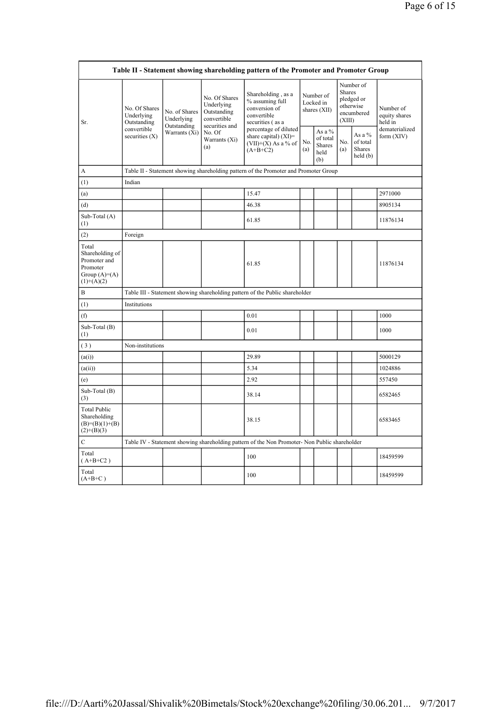|                                                                                        |                                                                                               |                              |                                                           | Table II - Statement showing shareholding pattern of the Promoter and Promoter Group      |            |                                                    |                         |                                                    |                                       |
|----------------------------------------------------------------------------------------|-----------------------------------------------------------------------------------------------|------------------------------|-----------------------------------------------------------|-------------------------------------------------------------------------------------------|------------|----------------------------------------------------|-------------------------|----------------------------------------------------|---------------------------------------|
| Sr.                                                                                    | No. Of Shares<br>Underlying<br>Outstanding                                                    | No. of Shares<br>Underlying  | No. Of Shares<br>Underlying<br>Outstanding<br>convertible | Shareholding, as a<br>% assuming full<br>conversion of<br>convertible<br>securities (as a |            | Number of<br>Locked in<br>shares (XII)             | <b>Shares</b><br>(XIII) | Number of<br>pledged or<br>otherwise<br>encumbered | Number of<br>equity shares<br>held in |
|                                                                                        | convertible<br>securities $(X)$                                                               | Outstanding<br>Warrants (Xi) | securities and<br>No. Of<br>Warrants (Xi)<br>(a)          | percentage of diluted<br>share capital) $(XI)$ =<br>$(VII)+(X)$ As a % of<br>$(A+B+C2)$   | No.<br>(a) | As a %<br>of total<br><b>Shares</b><br>held<br>(b) | No.<br>(a)              | As a $%$<br>of total<br>Shares<br>held(b)          | dematerialized<br>form (XIV)          |
| A                                                                                      |                                                                                               |                              |                                                           | Table II - Statement showing shareholding pattern of the Promoter and Promoter Group      |            |                                                    |                         |                                                    |                                       |
| (1)                                                                                    | Indian                                                                                        |                              |                                                           |                                                                                           |            |                                                    |                         |                                                    |                                       |
| (a)                                                                                    |                                                                                               |                              |                                                           | 15.47                                                                                     |            |                                                    |                         |                                                    | 2971000                               |
| (d)                                                                                    |                                                                                               |                              |                                                           | 46.38                                                                                     |            |                                                    |                         |                                                    | 8905134                               |
| Sub-Total (A)<br>(1)                                                                   |                                                                                               |                              |                                                           | 61.85                                                                                     |            |                                                    |                         |                                                    | 11876134                              |
| (2)                                                                                    | Foreign                                                                                       |                              |                                                           |                                                                                           |            |                                                    |                         |                                                    |                                       |
| Total<br>Shareholding of<br>Promoter and<br>Promoter<br>Group $(A)=A)$<br>$(1)+(A)(2)$ |                                                                                               |                              |                                                           | 61.85                                                                                     |            |                                                    |                         |                                                    | 11876134                              |
| B                                                                                      |                                                                                               |                              |                                                           | Table III - Statement showing shareholding pattern of the Public shareholder              |            |                                                    |                         |                                                    |                                       |
| (1)                                                                                    | Institutions                                                                                  |                              |                                                           |                                                                                           |            |                                                    |                         |                                                    |                                       |
| (f)                                                                                    |                                                                                               |                              |                                                           | 0.01                                                                                      |            |                                                    |                         |                                                    | 1000                                  |
| Sub-Total (B)<br>(1)                                                                   |                                                                                               |                              |                                                           | 0.01                                                                                      |            |                                                    |                         |                                                    | 1000                                  |
| (3)                                                                                    | Non-institutions                                                                              |                              |                                                           |                                                                                           |            |                                                    |                         |                                                    |                                       |
| (a(i))                                                                                 |                                                                                               |                              |                                                           | 29.89                                                                                     |            |                                                    |                         |                                                    | 5000129                               |
| (a(ii))                                                                                |                                                                                               |                              |                                                           | 5.34                                                                                      |            |                                                    |                         |                                                    | 1024886                               |
| (e)                                                                                    |                                                                                               |                              |                                                           | 2.92                                                                                      |            |                                                    |                         |                                                    | 557450                                |
| Sub-Total (B)<br>(3)                                                                   |                                                                                               |                              |                                                           | 38.14                                                                                     |            |                                                    |                         |                                                    | 6582465                               |
| <b>Total Public</b><br>Shareholding<br>$(B)= (B)(1)+(B)$<br>$(2)+(B)(3)$               |                                                                                               |                              |                                                           | 38.15                                                                                     |            |                                                    |                         |                                                    | 6583465                               |
| $\mathbf C$                                                                            | Table IV - Statement showing shareholding pattern of the Non Promoter- Non Public shareholder |                              |                                                           |                                                                                           |            |                                                    |                         |                                                    |                                       |
| Total<br>$(A+B+C2)$                                                                    |                                                                                               |                              |                                                           | 100                                                                                       |            |                                                    |                         |                                                    | 18459599                              |
| Total<br>$(A+B+C)$                                                                     |                                                                                               |                              |                                                           | 100                                                                                       |            |                                                    |                         |                                                    | 18459599                              |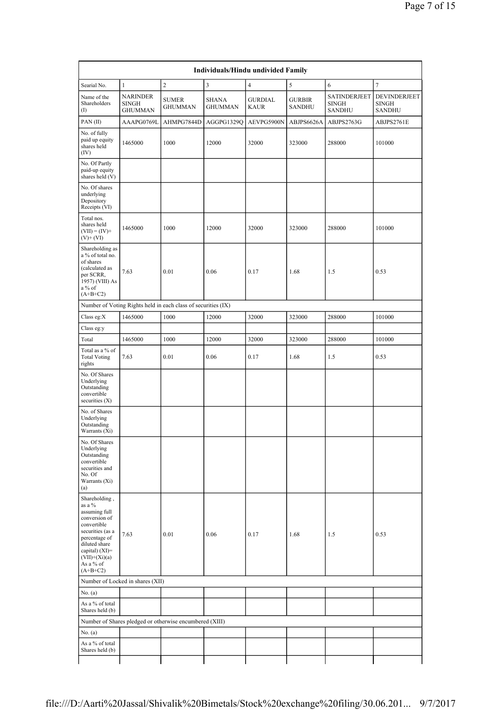|                                                                                                                            |                                                   |                                                               | Individuals/Hindu undivided Family |                               |                                |                                               |                                               |
|----------------------------------------------------------------------------------------------------------------------------|---------------------------------------------------|---------------------------------------------------------------|------------------------------------|-------------------------------|--------------------------------|-----------------------------------------------|-----------------------------------------------|
| Searial No.                                                                                                                | $\mathbf{1}$                                      | $\overline{c}$                                                | 3                                  | $\overline{4}$                | 5                              | 6                                             | $\tau$                                        |
| Name of the<br>Shareholders<br>$($ I                                                                                       | <b>NARINDER</b><br><b>SINGH</b><br><b>GHUMMAN</b> | <b>SUMER</b><br><b>GHUMMAN</b>                                | <b>SHANA</b><br><b>GHUMMAN</b>     | <b>GURDIAL</b><br><b>KAUR</b> | <b>GURBIR</b><br><b>SANDHU</b> | SATINDERJEET<br><b>SINGH</b><br><b>SANDHU</b> | DEVINDERJEET<br><b>SINGH</b><br><b>SANDHU</b> |
| PAN(II)                                                                                                                    | AAAPG0769L                                        | AHMPG7844D                                                    | AGGPG1329Q                         | AEVPG5900N                    | ABJPS6626A                     | ABJPS2763G                                    | ABJPS2761E                                    |
| No. of fully<br>paid up equity<br>shares held<br>(IV)                                                                      | 1465000                                           | 1000                                                          | 12000                              | 32000                         | 323000                         | 288000                                        | 101000                                        |
| No. Of Partly<br>paid-up equity<br>shares held (V)                                                                         |                                                   |                                                               |                                    |                               |                                |                                               |                                               |
| No. Of shares<br>underlying<br>Depository<br>Receipts (VI)                                                                 |                                                   |                                                               |                                    |                               |                                |                                               |                                               |
| Total nos.<br>shares held<br>$(VII) = (IV) +$<br>$(V)$ + $(VI)$                                                            | 1465000                                           | 1000                                                          | 12000                              | 32000                         | 323000                         | 288000                                        | 101000                                        |
| Shareholding as<br>a % of total no.<br>of shares<br>(calculated as<br>per SCRR,<br>1957) (VIII) As<br>a % of<br>$(A+B+C2)$ | 7.63                                              | 0.01                                                          | 0.06                               | 0.17                          | 1.68                           | 1.5                                           | 0.53                                          |
|                                                                                                                            |                                                   | Number of Voting Rights held in each class of securities (IX) |                                    |                               |                                |                                               |                                               |
| Class eg: $X$                                                                                                              | 1465000                                           | 1000                                                          | 12000                              | 32000                         | 323000                         | 288000                                        | 101000                                        |
| Class eg:y                                                                                                                 |                                                   |                                                               |                                    |                               |                                |                                               |                                               |
| Total                                                                                                                      | 1465000                                           | 1000                                                          | 12000                              | 32000                         | 323000                         | 288000                                        | 101000                                        |
| Total as a % of<br><b>Total Voting</b><br>rights                                                                           | 7.63                                              | 0.01                                                          | 0.06                               | 0.17                          | 1.68                           | 1.5                                           | 0.53                                          |
| No. Of Shares<br>Underlying<br>Outstanding<br>convertible<br>securities $(X)$                                              |                                                   |                                                               |                                    |                               |                                |                                               |                                               |
| No. of Shares<br>Underlying<br>Outstanding<br>Warrants (Xi)                                                                |                                                   |                                                               |                                    |                               |                                |                                               |                                               |
| No. Of Shares<br>Underlying<br>Outstanding<br>convertible<br>securities and<br>No. Of<br>Warrants (Xi)<br>(a)              |                                                   |                                                               |                                    |                               |                                |                                               |                                               |
| Shareholding,<br>as a %<br>assuming full<br>conversion of<br>convertible<br>securities (as a                               | 7.63                                              | 0.01                                                          | 0.06                               | 0.17                          | 1.68                           | 1.5                                           | 0.53                                          |
| percentage of<br>diluted share<br>capital) $(XI)=$<br>$(VII)+(Xi)(a)$<br>As a % of                                         |                                                   |                                                               |                                    |                               |                                |                                               |                                               |
| $(A+B+C2)$                                                                                                                 |                                                   |                                                               |                                    |                               |                                |                                               |                                               |
|                                                                                                                            | Number of Locked in shares (XII)                  |                                                               |                                    |                               |                                |                                               |                                               |
| No. (a)                                                                                                                    |                                                   |                                                               |                                    |                               |                                |                                               |                                               |
| As a % of total<br>Shares held (b)                                                                                         |                                                   |                                                               |                                    |                               |                                |                                               |                                               |
|                                                                                                                            |                                                   | Number of Shares pledged or otherwise encumbered (XIII)       |                                    |                               |                                |                                               |                                               |
| No. (a)                                                                                                                    |                                                   |                                                               |                                    |                               |                                |                                               |                                               |
| As a % of total<br>Shares held (b)                                                                                         |                                                   |                                                               |                                    |                               |                                |                                               |                                               |
|                                                                                                                            |                                                   |                                                               |                                    |                               |                                |                                               |                                               |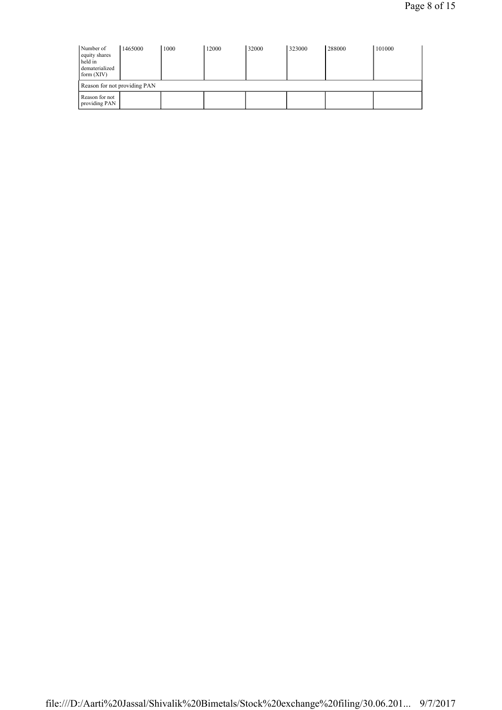| Number of<br>equity shares<br>held in<br>dematerialized<br>form $(XIV)$ | 1465000 | 1000 | 12000 | 32000 | 323000 | 288000 | 101000 |
|-------------------------------------------------------------------------|---------|------|-------|-------|--------|--------|--------|
| Reason for not providing PAN                                            |         |      |       |       |        |        |        |
| Reason for not<br>providing PAN                                         |         |      |       |       |        |        |        |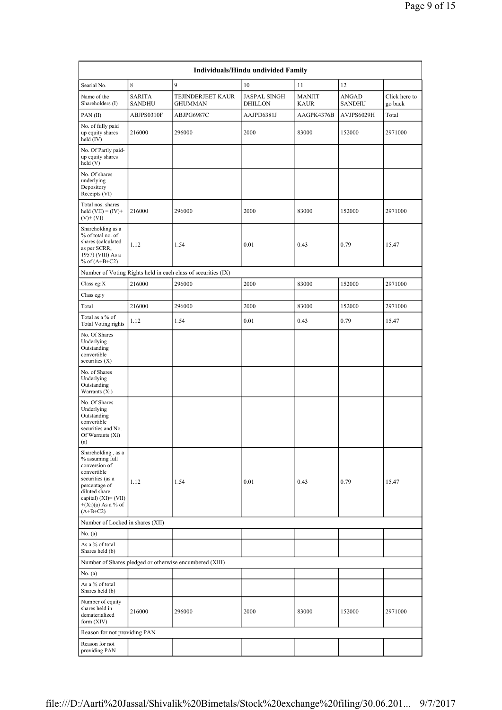|                                                                                                                                                                                              |                                |                                                               | Individuals/Hindu undivided Family    |                              |                               |                          |
|----------------------------------------------------------------------------------------------------------------------------------------------------------------------------------------------|--------------------------------|---------------------------------------------------------------|---------------------------------------|------------------------------|-------------------------------|--------------------------|
| Searial No.                                                                                                                                                                                  | 8                              | 9                                                             | 10                                    | 11                           | 12                            |                          |
| Name of the<br>Shareholders (I)                                                                                                                                                              | <b>SARITA</b><br><b>SANDHU</b> | TEJINDERJEET KAUR<br><b>GHUMMAN</b>                           | <b>JASPAL SINGH</b><br><b>DHILLON</b> | <b>MANJIT</b><br><b>KAUR</b> | <b>ANGAD</b><br><b>SANDHU</b> | Click here to<br>go back |
| PAN(II)                                                                                                                                                                                      | ABJPS0310F                     | ABJPG6987C                                                    | AAJPD6381J                            | AAGPK4376B                   | AVJPS6029H                    | Total                    |
| No. of fully paid<br>up equity shares<br>held (IV)                                                                                                                                           | 216000                         | 296000                                                        | 2000                                  | 83000                        | 152000                        | 2971000                  |
| No. Of Partly paid-<br>up equity shares<br>held(V)                                                                                                                                           |                                |                                                               |                                       |                              |                               |                          |
| No. Of shares<br>underlying<br>Depository<br>Receipts (VI)                                                                                                                                   |                                |                                                               |                                       |                              |                               |                          |
| Total nos. shares<br>held $(VII) = (IV) +$<br>$(V)$ + $(VI)$                                                                                                                                 | 216000                         | 296000                                                        | 2000                                  | 83000                        | 152000                        | 2971000                  |
| Shareholding as a<br>% of total no. of<br>shares (calculated<br>as per SCRR,<br>1957) (VIII) As a<br>% of $(A+B+C2)$                                                                         | 1.12                           | 1.54                                                          | 0.01                                  | 0.43                         | 0.79                          | 15.47                    |
|                                                                                                                                                                                              |                                | Number of Voting Rights held in each class of securities (IX) |                                       |                              |                               |                          |
| Class eg: $X$                                                                                                                                                                                | 216000                         | 296000                                                        | 2000                                  | 83000                        | 152000                        | 2971000                  |
| Class eg:y                                                                                                                                                                                   |                                |                                                               |                                       |                              |                               |                          |
| Total                                                                                                                                                                                        | 216000                         | 296000                                                        | 2000                                  | 83000                        | 152000                        | 2971000                  |
| Total as a % of<br><b>Total Voting rights</b>                                                                                                                                                | 1.12                           | 1.54                                                          | 0.01                                  | 0.43                         | 0.79                          | 15.47                    |
| No. Of Shares<br>Underlying<br>Outstanding<br>convertible<br>securities (X)                                                                                                                  |                                |                                                               |                                       |                              |                               |                          |
| No. of Shares<br>Underlying<br>Outstanding<br>Warrants (Xi)                                                                                                                                  |                                |                                                               |                                       |                              |                               |                          |
| No. Of Shares<br>Underlying<br>Outstanding<br>convertible<br>securities and No.<br>Of Warrants (Xi)<br>(a)                                                                                   |                                |                                                               |                                       |                              |                               |                          |
| Shareholding, as a<br>% assuming full<br>conversion of<br>convertible<br>securities (as a<br>percentage of<br>diluted share<br>capital) $(XI) = (VII)$<br>$+(Xi)(a)$ As a % of<br>$(A+B+C2)$ | 1.12                           | 1.54                                                          | 0.01                                  | 0.43                         | 0.79                          | 15.47                    |
| Number of Locked in shares (XII)                                                                                                                                                             |                                |                                                               |                                       |                              |                               |                          |
| No. (a)                                                                                                                                                                                      |                                |                                                               |                                       |                              |                               |                          |
| As a % of total<br>Shares held (b)                                                                                                                                                           |                                |                                                               |                                       |                              |                               |                          |
|                                                                                                                                                                                              |                                | Number of Shares pledged or otherwise encumbered (XIII)       |                                       |                              |                               |                          |
| No. (a)                                                                                                                                                                                      |                                |                                                               |                                       |                              |                               |                          |
| As a % of total<br>Shares held (b)                                                                                                                                                           |                                |                                                               |                                       |                              |                               |                          |
| Number of equity<br>shares held in<br>dematerialized<br>form (XIV)                                                                                                                           | 216000                         | 296000                                                        | 2000                                  | 83000                        | 152000                        | 2971000                  |
| Reason for not providing PAN                                                                                                                                                                 |                                |                                                               |                                       |                              |                               |                          |
| Reason for not<br>providing PAN                                                                                                                                                              |                                |                                                               |                                       |                              |                               |                          |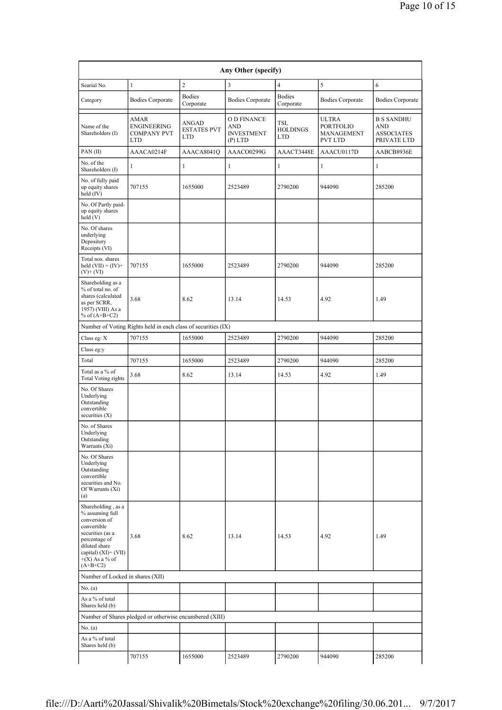|                                                                                                                                                                                       |                                                               |                                           | Any Other (specify)                                         |                                      |                                                                  |                                                              |
|---------------------------------------------------------------------------------------------------------------------------------------------------------------------------------------|---------------------------------------------------------------|-------------------------------------------|-------------------------------------------------------------|--------------------------------------|------------------------------------------------------------------|--------------------------------------------------------------|
| Searial No.                                                                                                                                                                           | $\mathbf{1}$                                                  | $\overline{2}$                            | 3                                                           | $\overline{4}$                       | 5                                                                | 6                                                            |
| Category                                                                                                                                                                              | <b>Bodies Corporate</b>                                       | <b>Bodies</b><br>Corporate                | <b>Bodies Corporate</b>                                     | <b>Bodies</b><br>Corporate           | <b>Bodies Corporate</b>                                          | <b>Bodies Corporate</b>                                      |
| Name of the<br>Shareholders (I)                                                                                                                                                       | AMAR<br>ENGINEERING<br><b>COMPANY PVT</b><br>LTD              | ANGAD<br><b>ESTATES PVT</b><br><b>LTD</b> | O D FINANCE<br><b>AND</b><br><b>INVESTMENT</b><br>$(P)$ LTD | TSL<br><b>HOLDINGS</b><br><b>LTD</b> | <b>ULTRA</b><br><b>PORTFOLIO</b><br>MANAGEMENT<br><b>PVT LTD</b> | <b>B S SANDHU</b><br>AND<br><b>ASSOCIATES</b><br>PRIVATE LTD |
| PAN(II)                                                                                                                                                                               | AAACA0214F                                                    | AAACA8041Q                                | AAACO0299G                                                  | AAACT3448E                           | AAACU0117D                                                       | AABCB8936E                                                   |
| No. of the<br>Shareholders (I)                                                                                                                                                        | 1                                                             | 1                                         | $\mathbf{1}$                                                | 1                                    | $\mathbf{1}$                                                     | 1                                                            |
| No. of fully paid<br>up equity shares<br>held (IV)                                                                                                                                    | 707155                                                        | 1655000                                   | 2523489                                                     | 2790200                              | 944090                                                           | 285200                                                       |
| No. Of Partly paid-<br>up equity shares<br>held (V)                                                                                                                                   |                                                               |                                           |                                                             |                                      |                                                                  |                                                              |
| No. Of shares<br>underlying<br>Depository<br>Receipts (VI)                                                                                                                            |                                                               |                                           |                                                             |                                      |                                                                  |                                                              |
| Total nos. shares<br>held $(VII) = (IV) +$<br>$(V)$ + $(VI)$                                                                                                                          | 707155                                                        | 1655000                                   | 2523489                                                     | 2790200                              | 944090                                                           | 285200                                                       |
| Shareholding as a<br>% of total no. of<br>shares (calculated<br>as per SCRR,<br>1957) (VIII) As a<br>% of $(A+B+C2)$                                                                  | 3.68                                                          | 8.62                                      | 13.14                                                       | 14.53                                | 4.92                                                             | 1.49                                                         |
|                                                                                                                                                                                       | Number of Voting Rights held in each class of securities (IX) |                                           |                                                             |                                      |                                                                  |                                                              |
| Class eg: X                                                                                                                                                                           | 707155                                                        | 1655000                                   | 2523489                                                     | 2790200                              | 944090                                                           | 285200                                                       |
| Class eg:y                                                                                                                                                                            |                                                               |                                           |                                                             |                                      |                                                                  |                                                              |
| Total                                                                                                                                                                                 | 707155                                                        | 1655000                                   | 2523489                                                     | 2790200                              | 944090                                                           | 285200                                                       |
| Total as a % of<br><b>Total Voting rights</b>                                                                                                                                         | 3.68                                                          | 8.62                                      | 13.14                                                       | 14.53                                | 4.92                                                             | 1.49                                                         |
| No. Of Shares<br>Underlying<br>Outstanding<br>convertible<br>securities $(X)$                                                                                                         |                                                               |                                           |                                                             |                                      |                                                                  |                                                              |
| No. of Shares<br>Underlying<br>Outstanding<br>Warrants (Xi)                                                                                                                           |                                                               |                                           |                                                             |                                      |                                                                  |                                                              |
| No. Of Shares<br>Underlying<br>Outstanding<br>convertible<br>securities and No.<br>Of Warrants (Xi)<br>(a)                                                                            |                                                               |                                           |                                                             |                                      |                                                                  |                                                              |
| Shareholding, as a<br>% assuming full<br>conversion of<br>convertible<br>securities (as a<br>percentage of<br>diluted share<br>capital) (XI)= (VII)<br>$+(X)$ As a % of<br>$(A+B+C2)$ | 3.68                                                          | 8.62                                      | 13.14                                                       | 14.53                                | 4.92                                                             | 1.49                                                         |
| Number of Locked in shares (XII)                                                                                                                                                      |                                                               |                                           |                                                             |                                      |                                                                  |                                                              |
| No. $(a)$                                                                                                                                                                             |                                                               |                                           |                                                             |                                      |                                                                  |                                                              |
| As a % of total<br>Shares held (b)                                                                                                                                                    |                                                               |                                           |                                                             |                                      |                                                                  |                                                              |
|                                                                                                                                                                                       | Number of Shares pledged or otherwise encumbered (XIII)       |                                           |                                                             |                                      |                                                                  |                                                              |
| No. (a)                                                                                                                                                                               |                                                               |                                           |                                                             |                                      |                                                                  |                                                              |
| As a % of total<br>Shares held (b)                                                                                                                                                    |                                                               |                                           |                                                             |                                      |                                                                  |                                                              |
|                                                                                                                                                                                       | 707155                                                        | 1655000                                   | 2523489                                                     | 2790200                              | 944090                                                           | 285200                                                       |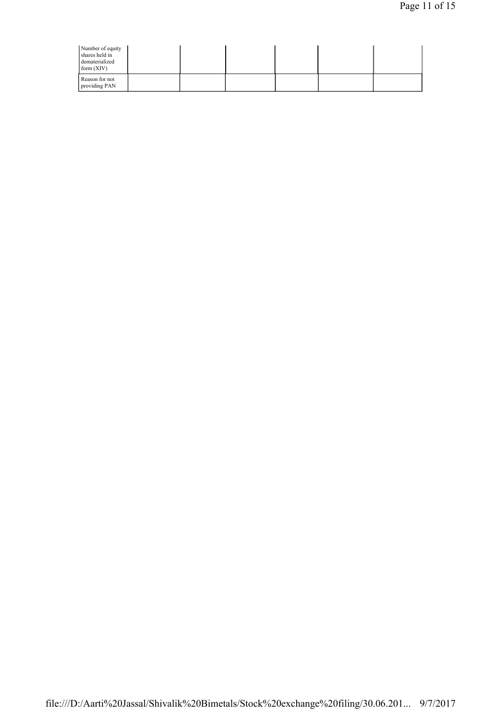| Number of equity<br>shares held in<br>dematerialized<br>form (XIV) |  |  |  |  |
|--------------------------------------------------------------------|--|--|--|--|
| Reason for not<br>providing PAN                                    |  |  |  |  |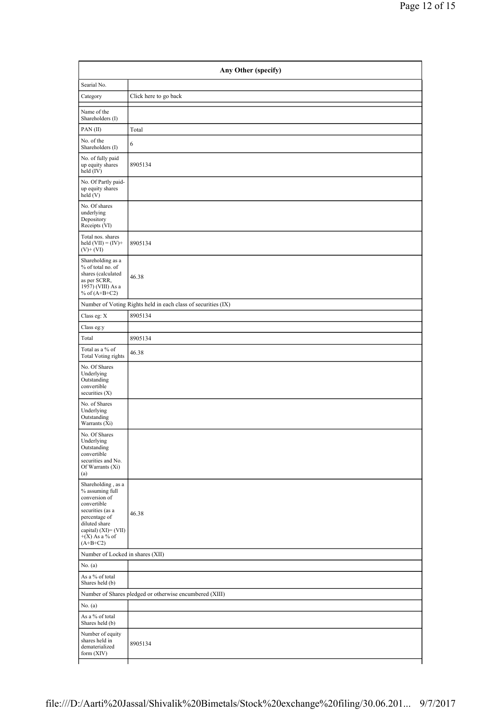|                                                                                                                                                                                           | Any Other (specify)                                           |  |  |  |  |  |  |
|-------------------------------------------------------------------------------------------------------------------------------------------------------------------------------------------|---------------------------------------------------------------|--|--|--|--|--|--|
| Searial No.                                                                                                                                                                               |                                                               |  |  |  |  |  |  |
| Category                                                                                                                                                                                  | Click here to go back                                         |  |  |  |  |  |  |
| Name of the<br>Shareholders (I)                                                                                                                                                           |                                                               |  |  |  |  |  |  |
| PAN(II)                                                                                                                                                                                   | Total                                                         |  |  |  |  |  |  |
| No. of the<br>Shareholders (I)                                                                                                                                                            | 6                                                             |  |  |  |  |  |  |
| No. of fully paid<br>up equity shares<br>held (IV)                                                                                                                                        | 8905134                                                       |  |  |  |  |  |  |
| No. Of Partly paid-<br>up equity shares<br>held(V)                                                                                                                                        |                                                               |  |  |  |  |  |  |
| No. Of shares<br>underlying<br>Depository<br>Receipts (VI)                                                                                                                                |                                                               |  |  |  |  |  |  |
| Total nos. shares<br>held $(VII) = (IV) +$<br>$(V)+(VI)$                                                                                                                                  | 8905134                                                       |  |  |  |  |  |  |
| Shareholding as a<br>% of total no. of<br>shares (calculated<br>as per SCRR,<br>1957) (VIII) As a<br>% of $(A+B+C2)$                                                                      | 46.38                                                         |  |  |  |  |  |  |
|                                                                                                                                                                                           | Number of Voting Rights held in each class of securities (IX) |  |  |  |  |  |  |
| Class eg: X                                                                                                                                                                               | 8905134                                                       |  |  |  |  |  |  |
| Class eg:y                                                                                                                                                                                |                                                               |  |  |  |  |  |  |
| Total                                                                                                                                                                                     | 8905134                                                       |  |  |  |  |  |  |
| Total as a % of<br><b>Total Voting rights</b>                                                                                                                                             | 46.38                                                         |  |  |  |  |  |  |
| No. Of Shares<br>Underlying<br>Outstanding<br>convertible<br>securities $(X)$                                                                                                             |                                                               |  |  |  |  |  |  |
| No. of Shares<br>Underlying<br>Outstanding<br>Warrants (Xi)                                                                                                                               |                                                               |  |  |  |  |  |  |
| No. Of Shares<br>Underlying<br>Outstanding<br>convertible<br>securities and No.<br>Of Warrants (Xi)<br>(a)                                                                                |                                                               |  |  |  |  |  |  |
| Shareholding , as a<br>$\%$ assuming full<br>conversion of<br>convertible<br>securities (as a<br>percentage of<br>diluted share<br>capital) (XI)= (VII)<br>$+(X)$ As a % of<br>$(A+B+C2)$ | 46.38                                                         |  |  |  |  |  |  |
| Number of Locked in shares (XII)                                                                                                                                                          |                                                               |  |  |  |  |  |  |
| No. $(a)$                                                                                                                                                                                 |                                                               |  |  |  |  |  |  |
| As a % of total<br>Shares held (b)                                                                                                                                                        |                                                               |  |  |  |  |  |  |
|                                                                                                                                                                                           | Number of Shares pledged or otherwise encumbered (XIII)       |  |  |  |  |  |  |
| No. (a)                                                                                                                                                                                   |                                                               |  |  |  |  |  |  |
| As a % of total<br>Shares held (b)                                                                                                                                                        |                                                               |  |  |  |  |  |  |
| Number of equity<br>shares held in<br>dematerialized<br>form (XIV)                                                                                                                        | 8905134                                                       |  |  |  |  |  |  |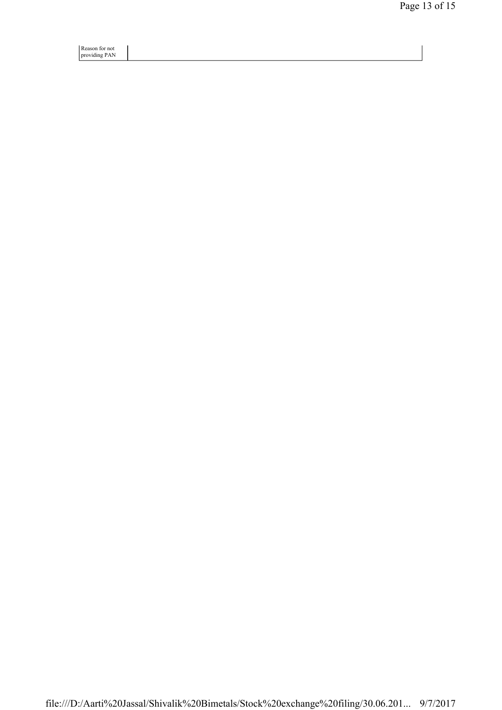Reason for not providing PAN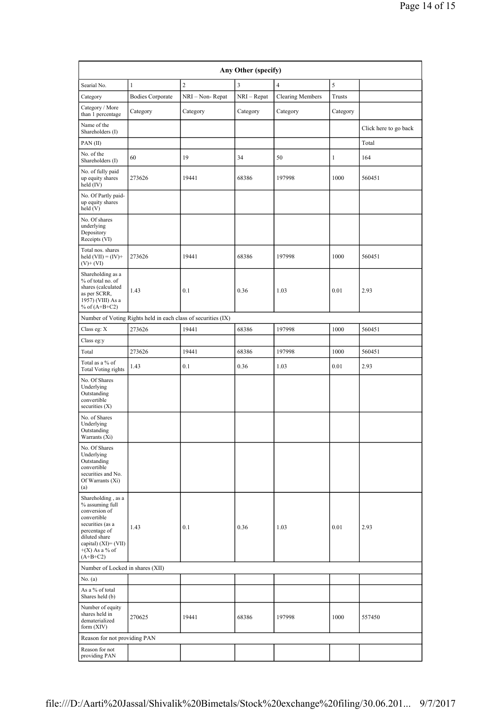| Any Other (specify)                                                                                                                                                                      |                         |                 |             |                         |              |                       |
|------------------------------------------------------------------------------------------------------------------------------------------------------------------------------------------|-------------------------|-----------------|-------------|-------------------------|--------------|-----------------------|
| Searial No.                                                                                                                                                                              | $\mathbf{1}$            | $\overline{c}$  | 3           | $\overline{4}$          | 5            |                       |
| Category                                                                                                                                                                                 | <b>Bodies Corporate</b> | NRI - Non-Repat | NRI - Repat | <b>Clearing Members</b> | Trusts       |                       |
| Category / More<br>than 1 percentage                                                                                                                                                     | Category                | Category        | Category    | Category                | Category     |                       |
| Name of the<br>Shareholders (I)                                                                                                                                                          |                         |                 |             |                         |              | Click here to go back |
| PAN(II)                                                                                                                                                                                  |                         |                 |             |                         |              | Total                 |
| No. of the<br>Shareholders (I)                                                                                                                                                           | 60                      | 19              | 34          | 50                      | $\mathbf{1}$ | 164                   |
| No. of fully paid<br>up equity shares<br>held (IV)                                                                                                                                       | 273626                  | 19441           | 68386       | 197998                  | 1000         | 560451                |
| No. Of Partly paid-<br>up equity shares<br>held (V)                                                                                                                                      |                         |                 |             |                         |              |                       |
| No. Of shares<br>underlying<br>Depository<br>Receipts (VI)                                                                                                                               |                         |                 |             |                         |              |                       |
| Total nos. shares<br>held $(VII) = (IV) +$<br>$(V)$ + (VI)                                                                                                                               | 273626                  | 19441           | 68386       | 197998                  | 1000         | 560451                |
| Shareholding as a<br>% of total no. of<br>shares (calculated<br>as per SCRR,<br>1957) (VIII) As a<br>% of $(A+B+C2)$                                                                     | 1.43                    | 0.1             | 0.36        | 1.03                    | 0.01         | 2.93                  |
| Number of Voting Rights held in each class of securities (IX)                                                                                                                            |                         |                 |             |                         |              |                       |
| Class eg: X                                                                                                                                                                              | 273626                  | 19441           | 68386       | 197998                  | 1000         | 560451                |
| Class eg:y                                                                                                                                                                               |                         |                 |             |                         |              |                       |
| Total                                                                                                                                                                                    | 273626                  | 19441           | 68386       | 197998                  | 1000         | 560451                |
| Total as a % of<br><b>Total Voting rights</b>                                                                                                                                            | 1.43                    | 0.1             | 0.36        | 1.03                    | 0.01         | 2.93                  |
| No. Of Shares<br>Underlying<br>Outstanding<br>convertible<br>securities $(X)$                                                                                                            |                         |                 |             |                         |              |                       |
| No. of Shares<br>Underlying<br>Outstanding<br>Warrants (Xi)                                                                                                                              |                         |                 |             |                         |              |                       |
| No. Of Shares<br>Underlying<br>Outstanding<br>convertible<br>securities and No.<br>Of Warrants (Xi)<br>(a)                                                                               |                         |                 |             |                         |              |                       |
| Shareholding, as a<br>% assuming full<br>conversion of<br>convertible<br>securities (as a<br>percentage of<br>diluted share<br>capital) $(XI) = (VII)$<br>$+(X)$ As a % of<br>$(A+B+C2)$ | 1.43                    | 0.1             | 0.36        | 1.03                    | 0.01         | 2.93                  |
| Number of Locked in shares (XII)                                                                                                                                                         |                         |                 |             |                         |              |                       |
| No. $(a)$                                                                                                                                                                                |                         |                 |             |                         |              |                       |
| As a % of total<br>Shares held (b)                                                                                                                                                       |                         |                 |             |                         |              |                       |
| Number of equity<br>shares held in<br>dematerialized<br>form (XIV)                                                                                                                       | 270625                  | 19441           | 68386       | 197998                  | 1000         | 557450                |
| Reason for not providing PAN                                                                                                                                                             |                         |                 |             |                         |              |                       |
| Reason for not<br>providing PAN                                                                                                                                                          |                         |                 |             |                         |              |                       |